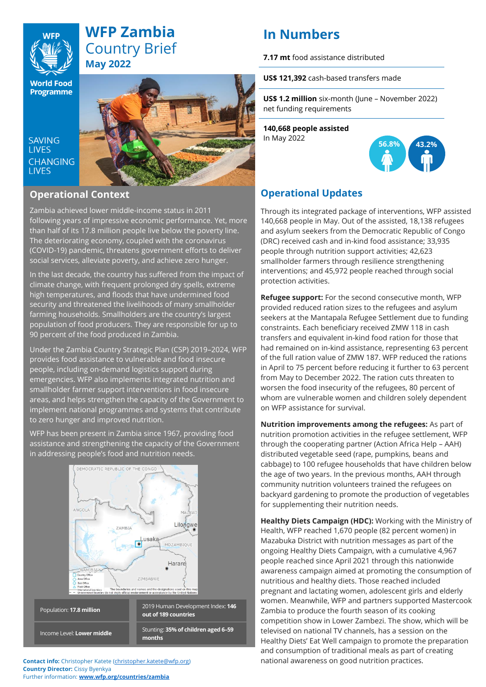# **WFP Zambia** Country Brief **May 2022**

**World Food Programme** 

SAVING **TIVES CHANGING I IVES** 



### **Operational Context**

Zambia achieved lower middle-income status in 2011 following years of impressive economic performance. Yet, more than half of its 17.8 million people live below the poverty line. The deteriorating economy, coupled with the coronavirus (COVID-19) pandemic, threatens government efforts to deliver social services, alleviate poverty, and achieve zero hunger.

In the last decade, the country has suffered from the impact of climate change, with frequent prolonged dry spells, extreme high temperatures, and floods that have undermined food security and threatened the livelihoods of many smallholder farming households. Smallholders are the country's largest population of food producers. They are responsible for up to 90 percent of the food produced in Zambia.

Under the Zambia Country Strategic Plan (CSP) 2019–2024, WFP provides food assistance to vulnerable and food insecure people, including on-demand logistics support during emergencies. WFP also implements integrated nutrition and smallholder farmer support interventions in food insecure areas, and helps strengthen the capacity of the Government to implement national programmes and systems that contribute to zero hunger and improved nutrition.

WFP has been present in Zambia since 1967, providing food assistance and strengthening the capacity of the Government in addressing people's food and nutrition needs.



Stunting: **35% of children aged 6–59 months**

**Contact info:** Christopher Katete [\(christopher.katete@wfp.org\)](mailto:christopher.katete@wfp.org) **Country Director:** Cissy Byenkya Further information: **[www.wfp.org/countries/zambia](http://www.wfp.org/countries/zambia)**

Income Level: **Lower middle**

# **In Numbers**

**7.17 mt** food assistance distributed

**US\$ 121,392** cash-based transfers made

**US\$ 1.2 million** six-month (June – November 2022) net funding requirements

**140,668 people assisted**  In May 2022



# **Operational Updates**

Through its integrated package of interventions, WFP assisted 140,668 people in May. Out of the assisted, 18,138 refugees and asylum seekers from the Democratic Republic of Congo (DRC) received cash and in-kind food assistance; 33,935 people through nutrition support activities; 42,623 smallholder farmers through resilience strengthening interventions; and 45,972 people reached through social protection activities.

**Refugee support:** For the second consecutive month, WFP provided reduced ration sizes to the refugees and asylum seekers at the Mantapala Refugee Settlement due to funding constraints. Each beneficiary received ZMW 118 in cash transfers and equivalent in-kind food ration for those that had remained on in-kind assistance, representing 63 percent of the full ration value of ZMW 187. WFP reduced the rations in April to 75 percent before reducing it further to 63 percent from May to December 2022. The ration cuts threaten to worsen the food insecurity of the refugees, 80 percent of whom are vulnerable women and children solely dependent on WFP assistance for survival.

**Nutrition improvements among the refugees:** As part of nutrition promotion activities in the refugee settlement, WFP through the cooperating partner (Action Africa Help – AAH) distributed vegetable seed (rape, pumpkins, beans and cabbage) to 100 refugee households that have children below the age of two years. In the previous months, AAH through community nutrition volunteers trained the refugees on backyard gardening to promote the production of vegetables for supplementing their nutrition needs.

**Healthy Diets Campaign (HDC):** Working with the Ministry of Health, WFP reached 1,670 people (82 percent women) in Mazabuka District with nutrition messages as part of the ongoing Healthy Diets Campaign, with a cumulative 4,967 people reached since April 2021 through this nationwide awareness campaign aimed at promoting the consumption of nutritious and healthy diets. Those reached included pregnant and lactating women, adolescent girls and elderly women. Meanwhile, WFP and partners supported Mastercook Zambia to produce the fourth season of its cooking competition show in Lower Zambezi. The show, which will be televised on national TV channels, has a session on the Healthy Diets' Eat Well campaign to promote the preparation and consumption of traditional meals as part of creating national awareness on good nutrition practices.